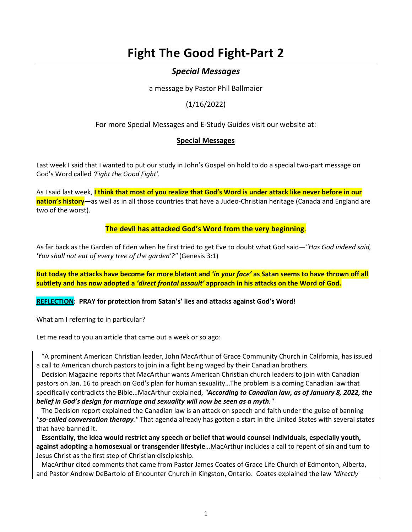# **Fight The Good Fight-Part 2**

# *Special Messages*

a message by Pastor Phil Ballmaier

(1/16/2022)

For more Special Messages and E-Study Guides visit our website at:

# **[Special Messages](https://www.ccelkgrove.org/special-messages/)**

Last week I said that I wanted to put our study in John's Gospel on hold to do a special two-part message on God's Word called *'Fight the Good Fight'.*

As I said last week, **I think that most of you realize that God's Word is under attack like never before in our nation's history—**as well as in all those countries that have a Judeo-Christian heritage (Canada and England are two of the worst).

**The devil has attacked God's Word from the very beginning**.

As far back as the Garden of Eden when he first tried to get Eve to doubt what God said—*"Has God indeed said, 'You shall not eat of every tree of the garden'?"* (Genesis 3:1)

**But today the attacks have become far more blatant and** *'in your face'* **as Satan seems to have thrown off all subtlety and has now adopted a** *'direct frontal assault'* **approach in his attacks on the Word of God.**

**REFLECTION: PRAY for protection from Satan's' lies and attacks against God's Word!**

What am I referring to in particular?

Let me read to you an article that came out a week or so ago:

 "A prominent American Christian leader, John MacArthur of Grace Community Church in California, has issued a call to American church pastors to join in a fight being waged by their Canadian brothers.

 [Decision Magazine](https://decisionmagazine.com/john-macarthur-urges-pastors-preach-on-biblical-sexuality/) reports that MacArthur wants American Christian church leaders to join with Canadian pastors on Jan. 16 to preach on God's plan for human sexuality…The problem is a coming Canadian law that specifically contradicts the Bible…MacArthur explained, *"According to Canadian law, as of January 8, 2022, the belief in God's design for marriage and sexuality will now be seen as a myth."*

 The Decision report explained the Canadian law is an attack on speech and faith under the guise of banning *"so-called conversation therapy."* That agenda already has gotten a start in the United States with several states that have banned it.

 **Essentially, the idea would restrict any speech or belief that would counsel individuals, especially youth, against adopting a homosexual or transgender lifestyle**…MacArthur includes a call to repent of sin and turn to Jesus Christ as the first step of Christian discipleship.

 MacArthur cited comments that came from Pastor James Coates of Grace Life Church of Edmonton, Alberta, and Pastor Andrew DeBartolo of Encounter Church in Kingston, Ontario. Coates explained the law *"directly*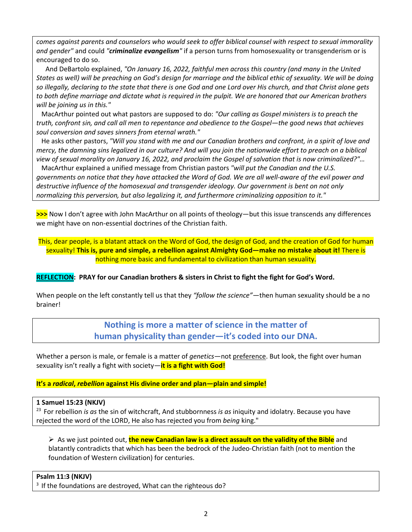*comes against parents and counselors who would seek to offer biblical counsel with respect to sexual immorality and gender"* and could *"criminalize evangelism"* if a person turns from homosexuality or transgenderism or is encouraged to do so.

And DeBartolo explained, *"On January 16, 2022, faithful men across this country (and many in the United States as well) will be preaching on God's design for marriage and the biblical ethic of sexuality. We will be doing so illegally, declaring to the state that there is one God and one Lord over His church, and that Christ alone gets to both define marriage and dictate what is required in the pulpit. We are honored that our American brothers will be joining us in this."*

 MacArthur pointed out what pastors are supposed to do: *"Our calling as Gospel ministers is to preach the truth, confront sin, and call all men to repentance and obedience to the Gospel—the good news that achieves soul conversion and saves sinners from eternal wrath."*

 He asks other pastors, *"Will you stand with me and our Canadian brothers and confront, in a spirit of love and mercy, the damning sins legalized in our culture? And will you join the nationwide effort to preach on a biblical view of sexual morality on January 16, 2022, and proclaim the Gospel of salvation that is now criminalized?"…*

 MacArthur explained a unified message from Christian pastors *"will put the Canadian and the U.S. governments on notice that they have attacked the Word of God. We are all well-aware of the evil power and destructive influence of the homosexual and transgender ideology. Our government is bent on not only normalizing this perversion, but also legalizing it, and furthermore criminalizing opposition to it."*

**>>>** Now I don't agree with John MacArthur on all points of theology—but this issue transcends any differences we might have on non-essential doctrines of the Christian faith.

This, dear people, is a blatant attack on the Word of God, the design of God, and the creation of God for human sexuality! **This is, pure and simple, a rebellion against Almighty God—make no mistake about it!** There is nothing more basic and fundamental to civilization than human sexuality.

**REFLECTION: PRAY for our Canadian brothers & sisters in Christ to fight the fight for God's Word.**

When people on the left constantly tell us that they *"follow the science"*—then human sexuality should be a no brainer!

> **Nothing is more a matter of science in the matter of human physicality than gender—it's coded into our DNA.**

Whether a person is male, or female is a matter of *genetics*—not preference. But look, the fight over human sexuality isn't really a fight with society—**it is a fight with God!**

**It's a** *radical***,** *rebellion* **against His divine order and plan—plain and simple!**

**1 Samuel 15:23 (NKJV)** 

23 For rebellion *is as* the sin of witchcraft, And stubbornness *is as* iniquity and idolatry. Because you have rejected the word of the LORD, He also has rejected you from *being* king."

**►** As we just pointed out, **the new Canadian law is a direct assault on the validity of the Bible** and blatantly contradicts that which has been the bedrock of the Judeo-Christian faith (not to mention the foundation of Western civilization) for centuries.

#### **Psalm 11:3 (NKJV)**

 $3$  If the foundations are destroyed, What can the righteous do?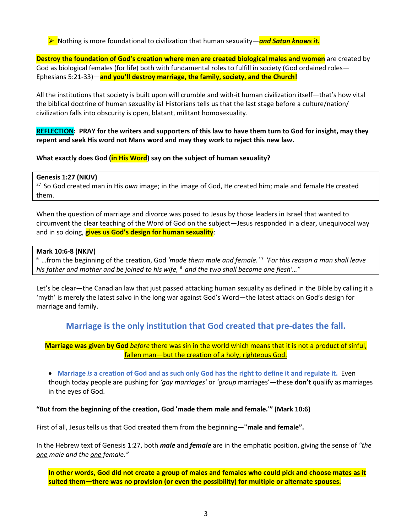**EXEC** Nothing is more foundational to civilization that human sexuality—**and Satan knows it.** 

**Destroy the foundation of God's creation where men are created biological males and women** are created by God as biological females (for life) both with fundamental roles to fulfill in society (God ordained roles— Ephesians 5:21-33)—**and you'll destroy marriage, the family, society, and the Church!**

All the institutions that society is built upon will crumble and with-it human civilization itself—that's how vital the biblical doctrine of human sexuality is! Historians tells us that the last stage before a culture/nation/ civilization falls into obscurity is open, blatant, militant homosexuality.

**REFLECTION: PRAY for the writers and supporters of this law to have them turn to God for insight, may they repent and seek His word not Mans word and may they work to reject this new law.**

**What exactly does God (in His Word) say on the subject of human sexuality?**

#### **Genesis 1:27 (NKJV)**

27 So God created man in His *own* image; in the image of God, He created him; male and female He created them.

When the question of marriage and divorce was posed to Jesus by those leaders in Israel that wanted to circumvent the clear teaching of the Word of God on the subject—Jesus responded in a clear, unequivocal way and in so doing, **gives us God's design for human sexuality**:

#### **Mark 10:6-8 (NKJV)**

6 …from the beginning of the creation, God *'made them male and female.'* <sup>7</sup>*'For this reason a man shall leave his father and mother and be joined to his wife,* <sup>8</sup>*and the two shall become one flesh'…"*

Let's be clear—the Canadian law that just passed attacking human sexuality as defined in the Bible by calling it a 'myth' is merely the latest salvo in the long war against God's Word—the latest attack on God's design for marriage and family.

# **Marriage is the only institution that God created that pre-dates the fall.**

# **Marriage was given by God** *before* there was sin in the world which means that it is not a product of sinful, fallen man-but the creation of a holy, righteous God.

• **Marriage** *is* **a creation of God and as such only God has the right to define it and regulate it.** Even though today people are pushing for *'gay marriages'* or *'group* marriages'—these **don't** qualify as marriages in the eyes of God.

# **"But from the beginning of the creation, God 'made them male and female.'" (Mark 10:6)**

First of all, Jesus tells us that God created them from the beginning—**"male and female".** 

In the Hebrew text of Genesis 1:27, both *male* and *female* are in the emphatic position, giving the sense of *"the one male and the one female."*

**In other words, God did not create a group of males and females who could pick and choose mates as it suited them—there was no provision (or even the possibility) for multiple or alternate spouses.**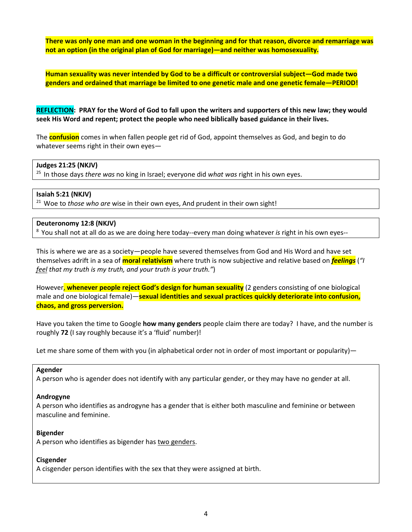**There was only one man and one woman in the beginning and for that reason, divorce and remarriage was not an option (in the original plan of God for marriage)—and neither was homosexuality.**

**Human sexuality was never intended by God to be a difficult or controversial subject—God made two genders and ordained that marriage be limited to one genetic male and one genetic female—PERIOD!**

**REFLECTION: PRAY for the Word of God to fall upon the writers and supporters of this new law; they would seek His Word and repent; protect the people who need biblically based guidance in their lives.**

The **confusion** comes in when fallen people get rid of God, appoint themselves as God, and begin to do whatever seems right in their own eyes—

#### **Judges 21:25 (NKJV)**

25 In those days *there was* no king in Israel; everyone did *what was* right in his own eyes.

#### **Isaiah 5:21 (NKJV)**

<sup>21</sup> Woe to *those who are* wise in their own eyes, And prudent in their own sight!

#### **Deuteronomy 12:8 (NKJV)**

8 You shall not at all do as we are doing here today--every man doing whatever *is* right in his own eyes--

This is where we are as a society—people have severed themselves from God and His Word and have set themselves adrift in a sea of **moral relativism** where truth is now subjective and relative based on *feelings* (*"I feel that my truth is my truth, and your truth is your truth."*)

However, **whenever people reject God's design for human sexuality** (2 genders consisting of one biological male and one biological female)—**sexual identities and sexual practices quickly deteriorate into confusion, chaos, and gross perversion.**

Have you taken the time to Google **how many genders** people claim there are today? I have, and the number is roughly **72** (I say roughly because it's a 'fluid' number)!

Let me share some of them with you (in alphabetical order not in order of most important or popularity)—

#### **Agender**

A person who is agender does not identify with any particular gender, or they may have no gender at all.

#### **Androgyne**

A person who identifies as androgyne has a gender that is either both masculine and feminine or between masculine and feminine.

#### **Bigender**

A person who identifies as bigender has [two genders.](https://lgbtqia.ucdavis.edu/educated/glossary)

#### **Cisgender**

A cisgender person identifies with the sex that they were assigned at birth.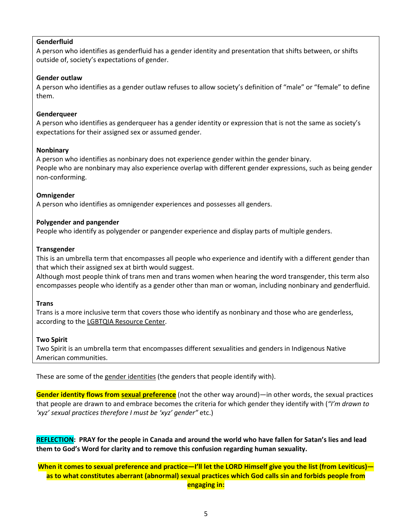## **Genderfluid**

A person who identifies as genderfluid has a gender identity and presentation that shifts between, or shifts outside of, society's expectations of gender.

#### **Gender outlaw**

A person who identifies as a gender outlaw refuses to allow society's definition of "male" or "female" to define them.

## **Genderqueer**

A person who identifies as genderqueer has a gender identity or expression that is not the same as society's expectations for their assigned sex or assumed gender.

## **Nonbinary**

A person who identifies as nonbinary does not experience gender within the gender binary. People who are nonbinary may also experience overlap with different gender expressions, such as being gender non-conforming.

## **Omnigender**

A person who identifies as omnigender experiences and possesses all genders.

## **Polygender and pangender**

People who identify as polygender or pangender experience and display parts of multiple genders.

#### **Transgender**

This is an umbrella term that encompasses all people who experience and identify with a different gender than that which their assigned sex at birth would suggest.

Although most people think of trans men and trans women when hearing the word transgender, this term also encompasses people who identify as a gender other than man or woman, including nonbinary and genderfluid.

#### **Trans**

Trans is a more inclusive term that covers those who identify as nonbinary and those who are genderless, according to the [LGBTQIA Resource Center.](https://lgbtqia.ucdavis.edu/educated/glossary)

#### **Two Spirit**

Two Spirit is an umbrella term that encompasses different sexualities and genders in Indigenous Native American communities.

These are some of the gender identities (the genders that people identify with).

**Gender identity flows from sexual preference** (not the other way around)—in other words, the sexual practices that people are drawn to and embrace becomes the criteria for which gender they identify with (*"I'm drawn to 'xyz' sexual practices therefore I must be 'xyz' gender"* etc.)

**REFLECTION: PRAY for the people in Canada and around the world who have fallen for Satan's lies and lead them to God's Word for clarity and to remove this confusion regarding human sexuality.**

**When it comes to sexual preference and practice—I'll let the LORD Himself give you the list (from Leviticus) as to what constitutes aberrant (abnormal) sexual practices which God calls sin and forbids people from engaging in:**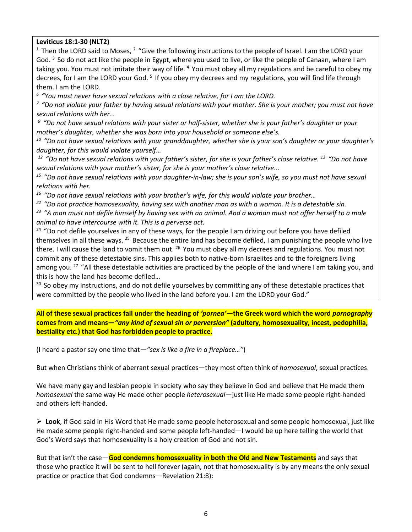**Leviticus 18:1-30 (NLT2)** 

<sup>1</sup> Then the LORD said to Moses,  $2$  "Give the following instructions to the people of Israel. I am the LORD your God. <sup>3</sup> So do not act like the people in Egypt, where you used to live, or like the people of Canaan, where I am taking you. You must not imitate their way of life. <sup>4</sup> You must obey all my regulations and be careful to obey my decrees, for I am the LORD your God.<sup>5</sup> If you obey my decrees and my regulations, you will find life through them. I am the LORD.

<sup>6</sup> "You must never have sexual relations with a close relative, for I am the LORD.<br><sup>7</sup> "Do not violate your father by having sexual relations with your mother. She is your mother; you must not have *sexual relations with her…*

*9 "Do not have sexual relations with your sister or half-sister, whether she is your father's daughter or your mother's daughter, whether she was born into your household or someone else's.* 

*10 "Do not have sexual relations with your granddaughter, whether she is your son's daughter or your daughter's daughter, for this would violate yourself…*

*12 "Do not have sexual relations with your father's sister, for she is your father's close relative. 13 "Do not have sexual relations with your mother's sister, for she is your mother's close relative...*

*15 "Do not have sexual relations with your daughter-in-law; she is your son's wife, so you must not have sexual relations with her.* 

*16 "Do not have sexual relations with your brother's wife, for this would violate your brother…*

*22 "Do not practice homosexuality, having sex with another man as with a woman. It is a detestable sin.* 

*23 "A man must not defile himself by having sex with an animal. And a woman must not offer herself to a male animal to have intercourse with it. This is a perverse act.* 

 $24$  "Do not defile yourselves in any of these ways, for the people I am driving out before you have defiled themselves in all these ways. <sup>25</sup> Because the entire land has become defiled, I am punishing the people who live there. I will cause the land to vomit them out. <sup>26</sup> You must obey all my decrees and regulations. You must not commit any of these detestable sins. This applies both to native-born Israelites and to the foreigners living among you. <sup>27</sup> "All these detestable activities are practiced by the people of the land where I am taking you, and this is how the land has become defiled…

<sup>30</sup> So obey my instructions, and do not defile yourselves by committing any of these detestable practices that were committed by the people who lived in the land before you. I am the LORD your God."

**All of these sexual practices fall under the heading of** *'pornea'—***the Greek word which the word** *pornography* **comes from and means—***"any kind of sexual sin or perversion"* **(adultery, homosexuality, incest, pedophilia, bestiality etc.) that God has forbidden people to practice.**

(I heard a pastor say one time that*—"sex is like a fire in a fireplace…"*)

But when Christians think of aberrant sexual practices—they most often think of *homosexual*, sexual practices.

We have many gay and lesbian people in society who say they believe in God and believe that He made them *homosexual* the same way He made other people *heterosexual*—just like He made some people right-handed and others left-handed.

 **Look**, if God said in His Word that He made some people heterosexual and some people homosexual, just like He made some people right-handed and some people left-handed—I would be up here telling the world that God's Word says that homosexuality is a holy creation of God and not sin.

But that isn't the case—**God condemns homosexuality in both the Old and New Testaments** and says that those who practice it will be sent to hell forever (again, not that homosexuality is by any means the only sexual practice or practice that God condemns—Revelation 21:8):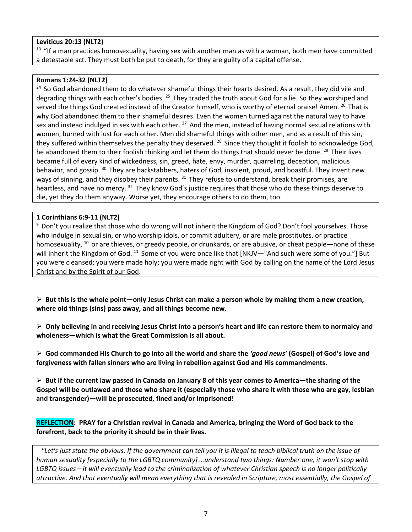# **Leviticus 20:13 (NLT2)**

 $13$  "If a man practices homosexuality, having sex with another man as with a woman, both men have committed a detestable act. They must both be put to death, for they are guilty of a capital offense.

#### **Romans 1:24-32 (NLT2)**

<sup>24</sup> So God abandoned them to do whatever shameful things their hearts desired. As a result, they did vile and degrading things with each other's bodies. <sup>25</sup> They traded the truth about God for a lie. So they worshiped and served the things God created instead of the Creator himself, who is worthy of eternal praise! Amen. <sup>26</sup> That is why God abandoned them to their shameful desires. Even the women turned against the natural way to have sex and instead indulged in sex with each other. <sup>27</sup> And the men, instead of having normal sexual relations with women, burned with lust for each other. Men did shameful things with other men, and as a result of this sin, they suffered within themselves the penalty they deserved. <sup>28</sup> Since they thought it foolish to acknowledge God, he abandoned them to their foolish thinking and let them do things that should never be done. <sup>29</sup> Their lives became full of every kind of wickedness, sin, greed, hate, envy, murder, quarreling, deception, malicious behavior, and gossip. <sup>30</sup> They are backstabbers, haters of God, insolent, proud, and boastful. They invent new ways of sinning, and they disobey their parents. <sup>31</sup> They refuse to understand, break their promises, are heartless, and have no mercy. <sup>32</sup> They know God's justice requires that those who do these things deserve to die, yet they do them anyway. Worse yet, they encourage others to do them, too.

#### **1 Corinthians 6:9-11 (NLT2)**

<sup>9</sup> Don't you realize that those who do wrong will not inherit the Kingdom of God? Don't fool yourselves. Those who indulge in sexual sin, or who worship idols, or commit adultery, or are male prostitutes, or practice homosexuality,  $^{10}$  or are thieves, or greedy people, or drunkards, or are abusive, or cheat people—none of these will inherit the Kingdom of God. <sup>11</sup> Some of you were once like that [NKJV—"And such were some of you."] But you were cleansed; you were made holy; you were made right with God by calling on the name of the Lord Jesus Christ and by the Spirit of our God.

 **But this is the whole point—only Jesus Christ can make a person whole by making them a new creation, where old things (sins) pass away, and all things become new.**

 **Only believing in and receiving Jesus Christ into a person's heart and life can restore them to normalcy and wholeness—which is what the Great Commission is all about.**

 **God commanded His Church to go into all the world and share the** *'good news'* **(Gospel) of God's love and forgiveness with fallen sinners who are living in rebellion against God and His commandments.**

 **But if the current law passed in Canada on January 8 of this year comes to America—the sharing of the Gospel will be outlawed and those who share it (especially those who share it with those who are gay, lesbian and transgender)—will be prosecuted, fined and/or imprisoned!**

**REFLECTION: PRAY for a Christian revival in Canada and America, bringing the Word of God back to the forefront, back to the priority it should be in their lives.**

 *"Let's just state the obvious. If the government can tell you it is illegal to teach biblical truth on the issue of human sexuality [especially to the LGBTQ community] …understand two things: Number one, it won't stop with LGBTQ issues—it will eventually lead to the criminalization of whatever Christian speech is no longer politically attractive. And that eventually will mean everything that is revealed in Scripture, most essentially, the Gospel of*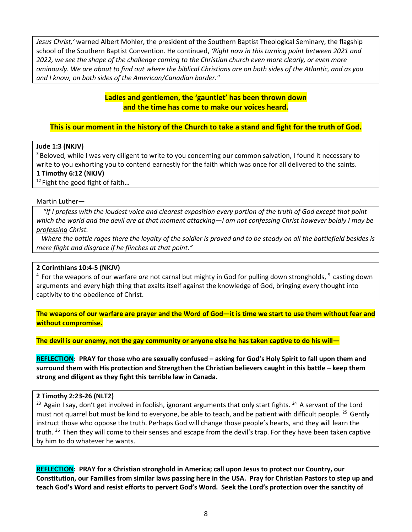*Jesus Christ,'* warned Albert Mohler, the president of the Southern Baptist Theological Seminary, the flagship school of the Southern Baptist Convention. He continued, *'Right now in this turning point between 2021 and 2022, we see the shape of the challenge coming to the Christian church even more clearly, or even more ominously. We are about to find out where the biblical Christians are on both sides of the Atlantic, and as you and I know, on both sides of the American/Canadian border."*

# **Ladies and gentlemen, the 'gauntlet' has been thrown down and the time has come to make our voices heard.**

# **This is our moment in the history of the Church to take a stand and fight for the truth of God.**

## **Jude 1:3 (NKJV)**

<sup>3</sup> Beloved, while I was very diligent to write to you concerning our common salvation, I found it necessary to write to you exhorting you to contend earnestly for the faith which was once for all delivered to the saints. **1 Timothy 6:12 (NKJV)** 

 $12$  Fight the good fight of faith...

#### Martin Luther—

 *"If I profess with the loudest voice and clearest exposition every portion of the truth of God except that point which the world and the devil are at that moment attacking—I am not confessing Christ however boldly I may be professing Christ.* 

 *Where the battle rages there the loyalty of the soldier is proved and to be steady on all the battlefield besides is mere flight and disgrace if he flinches at that point."*

#### **2 Corinthians 10:4-5 (NKJV)**

4 For the weapons of our warfare *are* not carnal but mighty in God for pulling down strongholds, 5 casting down arguments and every high thing that exalts itself against the knowledge of God, bringing every thought into captivity to the obedience of Christ.

**The weapons of our warfare are prayer and the Word of God—it is time we start to use them without fear and without compromise.**

**The devil is our enemy, not the gay community or anyone else he has taken captive to do his will—**

**REFLECTION: PRAY for those who are sexually confused – asking for God's Holy Spirit to fall upon them and surround them with His protection and Strengthen the Christian believers caught in this battle – keep them strong and diligent as they fight this terrible law in Canada.**

## **2 Timothy 2:23-26 (NLT2)**

<sup>23</sup> Again I say, don't get involved in foolish, ignorant arguments that only start fights. <sup>24</sup> A servant of the Lord must not quarrel but must be kind to everyone, be able to teach, and be patient with difficult people. <sup>25</sup> Gently instruct those who oppose the truth. Perhaps God will change those people's hearts, and they will learn the truth. <sup>26</sup> Then they will come to their senses and escape from the devil's trap. For they have been taken captive by him to do whatever he wants.

**REFLECTION: PRAY for a Christian stronghold in America; call upon Jesus to protect our Country, our Constitution, our Families from similar laws passing here in the USA. Pray for Christian Pastors to step up and teach God's Word and resist efforts to pervert God's Word. Seek the Lord's protection over the sanctity of**